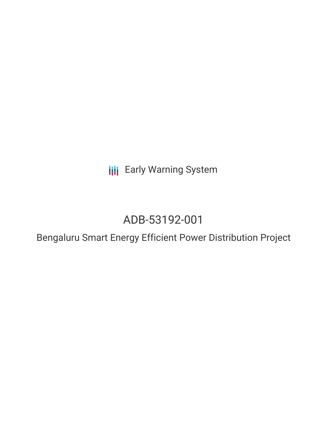**III** Early Warning System

# ADB-53192-001

Bengaluru Smart Energy Efficient Power Distribution Project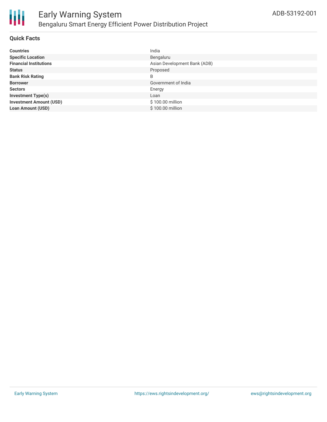

#### **Quick Facts**

| <b>Countries</b>               | India                        |
|--------------------------------|------------------------------|
| <b>Specific Location</b>       | Bengaluru                    |
| <b>Financial Institutions</b>  | Asian Development Bank (ADB) |
| <b>Status</b>                  | Proposed                     |
| <b>Bank Risk Rating</b>        | B                            |
| <b>Borrower</b>                | Government of India          |
| <b>Sectors</b>                 | Energy                       |
| <b>Investment Type(s)</b>      | Loan                         |
| <b>Investment Amount (USD)</b> | \$100.00 million             |
| <b>Loan Amount (USD)</b>       | \$100.00 million             |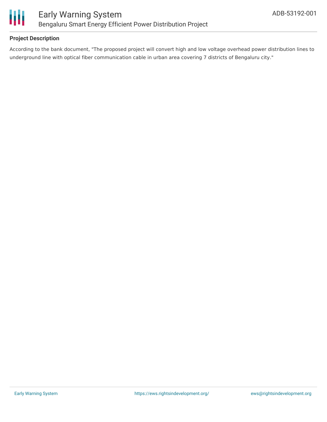

#### **Project Description**

According to the bank document, "The proposed project will convert high and low voltage overhead power distribution lines to underground line with optical fiber communication cable in urban area covering 7 districts of Bengaluru city."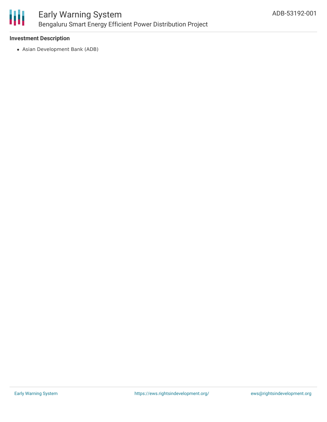

#### **Investment Description**

Asian Development Bank (ADB)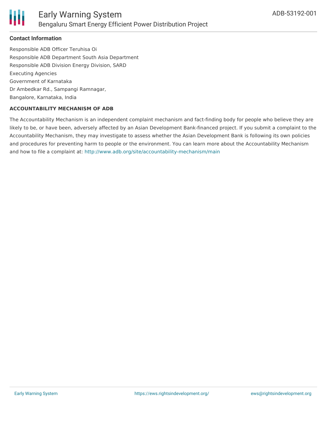

#### **Contact Information**

Responsible ADB Officer Teruhisa Oi Responsible ADB Department South Asia Department Responsible ADB Division Energy Division, SARD Executing Agencies Government of Karnataka Dr Ambedkar Rd., Sampangi Ramnagar, Bangalore, Karnataka, India

#### **ACCOUNTABILITY MECHANISM OF ADB**

The Accountability Mechanism is an independent complaint mechanism and fact-finding body for people who believe they are likely to be, or have been, adversely affected by an Asian Development Bank-financed project. If you submit a complaint to the Accountability Mechanism, they may investigate to assess whether the Asian Development Bank is following its own policies and procedures for preventing harm to people or the environment. You can learn more about the Accountability Mechanism and how to file a complaint at: <http://www.adb.org/site/accountability-mechanism/main>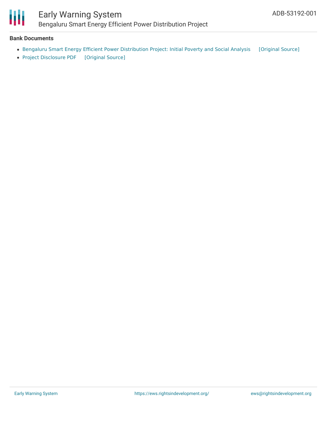

### Early Warning System Bengaluru Smart Energy Efficient Power Distribution Project

#### **Bank Documents**

- Bengaluru Smart Energy Efficient Power [Distribution](https://ewsdata.rightsindevelopment.org/files/documents/01/ADB-53192-001_NrcDwxX.pdf) Project: Initial Poverty and Social Analysis [\[Original](https://www.adb.org/projects/documents/ind-53192-001-ipsa) Source]
- Project [Disclosure](https://ewsdata.rightsindevelopment.org/files/documents/01/ADB-53192-001.pdf) PDF [\[Original](https://www.adb.org/printpdf/projects/53192-001/main) Source]